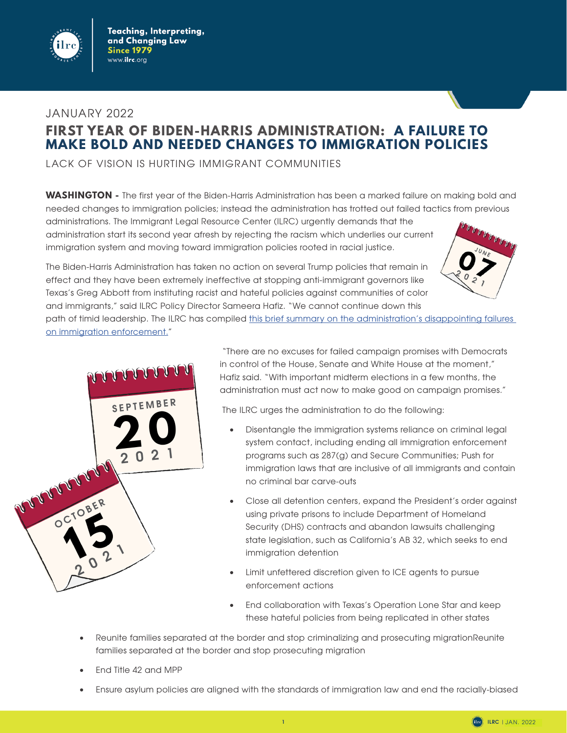

## JANUARY 2022 **FIRST YEAR OF BIDEN-HARRIS ADMINISTRATION: A FAILURE TO MAKE BOLD AND NEEDED CHANGES TO IMMIGRATION POLICIES**

LACK OF VISION IS HURTING IMMIGRANT COMMUNITIES

**WASHINGTON -** The first year of the Biden-Harris Administration has been a marked failure on making bold and needed changes to immigration policies; instead the administration has trotted out failed tactics from previous

path of timid leadership. The ILRC has compiled this brief summary on the administration's disappointing failures

administrations. The Immigrant Legal Resource Center (ILRC) urgently demands that the administration start its second year afresh by rejecting the racism which underlies our current immigration system and moving toward immigration policies rooted in racial justice.

The Biden-Harris Administration has taken no action on several Trump policies that remain in effect and they have been extremely ineffective at stopping anti-immigrant governors like Texas's Greg Abbott from instituting racist and hateful policies against communities of color and immigrants," said ILRC Policy Director Sameera Hafiz. "We cannot continue down this





[on immigration enforcement](https://www.ilrc.org/sites/default/files/ilrc_2021_review_final.pdf)."

 "There are no excuses for failed campaign promises with Democrats in control of the House, Senate and White House at the moment," Hafiz said. "With important midterm elections in a few months, the administration must act now to make good on campaign promises."

The ILRC urges the administration to do the following:

- Disentangle the immigration systems reliance on criminal legal system contact, including ending all immigration enforcement programs such as 287(g) and Secure Communities; Push for immigration laws that are inclusive of all immigrants and contain no criminal bar carve-outs
- Close all detention centers, expand the President's order against using private prisons to include Department of Homeland Security (DHS) contracts and abandon lawsuits challenging state legislation, such as California's AB 32, which seeks to end immigration detention
- Limit unfettered discretion given to ICE agents to pursue enforcement actions
- End collaboration with Texas's Operation Lone Star and keep these hateful policies from being replicated in other states
- Reunite families separated at the border and stop criminalizing and prosecuting migrationReunite families separated at the border and stop prosecuting migration
- End Title 42 and MPP
- Ensure asylum policies are aligned with the standards of immigration law and end the racially-biased